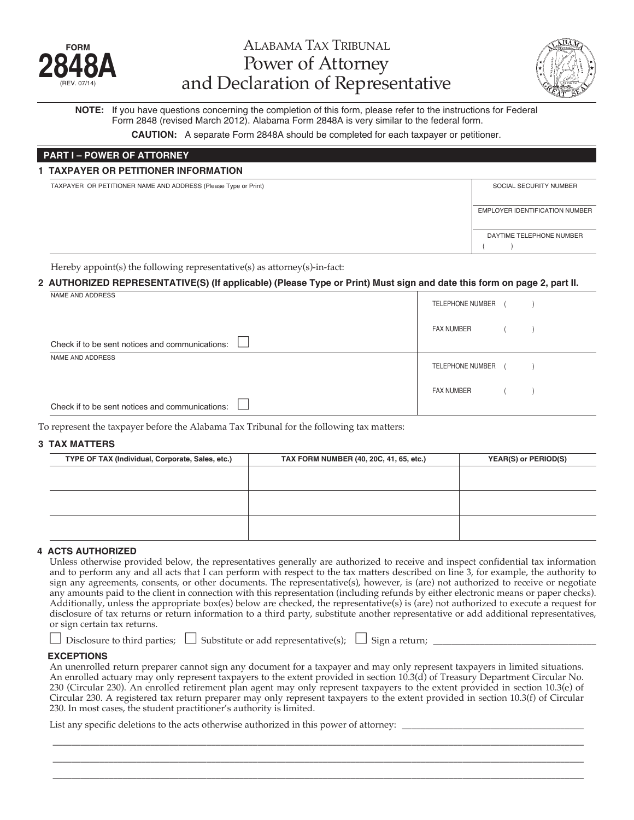

# ALAbAmA TAx TrIbUNAL Power of Attorney and Declaration of Representative



**NOTE:** If you have questions concerning the completion of this form, please refer to the instructions for Federal Form 2848 (revised March 2012). Alabama Form 2848A is very similar to the federal form.

**CAUTION:** A separate Form 2848A should be completed for each taxpayer or petitioner.

# **PART I – POWER OF ATTORNEY**

#### **1 TAXPAYER OR PETITIONER INFORMATION**

TAXPAYER OR PETITIONER NAME AND ADDRESS (Please Type or Print) SOCIAL SECURITY NUMBER

| . . | _____ |  |                                |
|-----|-------|--|--------------------------------|
|     |       |  | EMPLOYER IDENTIFICATION NUMBER |
|     |       |  |                                |
|     |       |  | DAYTIME TELEPHONE NUMBER       |
|     |       |  |                                |

Hereby appoint(s) the following representative(s) as attorney(s)-in-fact:

## 2 AUTHORIZED REPRESENTATIVE(S) (If applicable) (Please Type or Print) Must sign and date this form on page 2, part II.

| NAME AND ADDRESS                                | TELEPHONE NUMBER  |  |
|-------------------------------------------------|-------------------|--|
|                                                 | <b>FAX NUMBER</b> |  |
| Check if to be sent notices and communications: |                   |  |
| NAME AND ADDRESS                                | TELEPHONE NUMBER  |  |
| Check if to be sent notices and communications: | <b>FAX NUMBER</b> |  |

To represent the taxpayer before the Alabama Tax Tribunal for the following tax matters:

#### **3 TAX MATTERS**

| TYPE OF TAX (Individual, Corporate, Sales, etc.) | TAX FORM NUMBER (40, 20C, 41, 65, etc.) | YEAR(S) or PERIOD(S) |
|--------------------------------------------------|-----------------------------------------|----------------------|
|                                                  |                                         |                      |
|                                                  |                                         |                      |
|                                                  |                                         |                      |
|                                                  |                                         |                      |
|                                                  |                                         |                      |
|                                                  |                                         |                      |

#### **4 ACTS AUTHORIZED**

Unless otherwise provided below, the representatives generally are authorized to receive and inspect confidential tax information and to perform any and all acts that I can perform with respect to the tax matters described on line 3, for example, the authority to sign any agreements, consents, or other documents. The representative(s), however, is (are) not authorized to receive or negotiate any amounts paid to the client in connection with this representation (including refunds by either electronic means or paper checks). Additionally, unless the appropriate box(es) below are checked, the representative(s) is (are) not authorized to execute a request for disclosure of tax returns or return information to a third party, substitute another representative or add additional representatives, or sign certain tax returns.

|  | $\Box$ Disclosure to third parties; $\Box$ Substitute or add representative(s); $\Box$ Sign a return; |  |
|--|-------------------------------------------------------------------------------------------------------|--|
|--|-------------------------------------------------------------------------------------------------------|--|

#### **EXCEPTIONS**

An unenrolled return preparer cannot sign any document for a taxpayer and may only represent taxpayers in limited situations. An enrolled actuary may only represent taxpayers to the extent provided in section 10.3(d) of Treasury Department Circular No. 230 (Circular 230). An enrolled retirement plan agent may only represent taxpayers to the extent provided in section 10.3(e) of Circular 230. A registered tax return preparer may only represent taxpayers to the extent provided in section 10.3(f) of Circular 230. In most cases, the student practitioner's authority is limited.

\_\_\_\_\_\_\_\_\_\_\_\_\_\_\_\_\_\_\_\_\_\_\_\_\_\_\_\_\_\_\_\_\_\_\_\_\_\_\_\_\_\_\_\_\_\_\_\_\_\_\_\_\_\_\_\_\_\_\_\_\_\_\_\_\_\_\_\_\_\_\_\_\_\_\_\_\_\_\_\_\_\_\_\_\_\_\_\_\_\_\_\_\_\_\_\_\_\_\_\_\_\_\_\_\_\_\_\_\_\_\_\_\_\_ \_\_\_\_\_\_\_\_\_\_\_\_\_\_\_\_\_\_\_\_\_\_\_\_\_\_\_\_\_\_\_\_\_\_\_\_\_\_\_\_\_\_\_\_\_\_\_\_\_\_\_\_\_\_\_\_\_\_\_\_\_\_\_\_\_\_\_\_\_\_\_\_\_\_\_\_\_\_\_\_\_\_\_\_\_\_\_\_\_\_\_\_\_\_\_\_\_\_\_\_\_\_\_\_\_\_\_\_\_\_\_\_\_\_ \_\_\_\_\_\_\_\_\_\_\_\_\_\_\_\_\_\_\_\_\_\_\_\_\_\_\_\_\_\_\_\_\_\_\_\_\_\_\_\_\_\_\_\_\_\_\_\_\_\_\_\_\_\_\_\_\_\_\_\_\_\_\_\_\_\_\_\_\_\_\_\_\_\_\_\_\_\_\_\_\_\_\_\_\_\_\_\_\_\_\_\_\_\_\_\_\_\_\_\_\_\_\_\_\_\_\_\_\_\_\_\_\_\_

List any specific deletions to the acts otherwise authorized in this power of attorney: